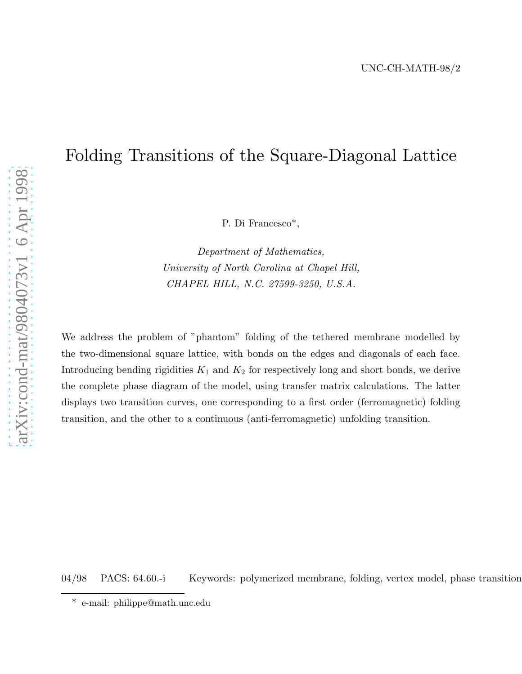# Folding Transitions of the Square-Diagonal Lattice

P. Di Francesco\*,

*Department of Mathematics, University of North Carolina at Chapel Hill, CHAPEL HILL, N.C. 27599-3250, U.S.A.*

We address the problem of "phantom" folding of the tethered membrane modelled by the two-dimensional square lattice, with bonds on the edges and diagonals of each face. Introducing bending rigidities  $K_1$  and  $K_2$  for respectively long and short bonds, we derive the complete phase diagram of the model, using transfer matrix calculations. The latter displays two transition curves, one corresponding to a first order (ferromagnetic) folding transition, and the other to a continuous (anti-ferromagnetic) unfolding transition.

04/98 PACS: 64.60.-i Keywords: polymerized membrane, folding, vertex model, phase transition

<sup>\*</sup> e-mail: philippe@math.unc.edu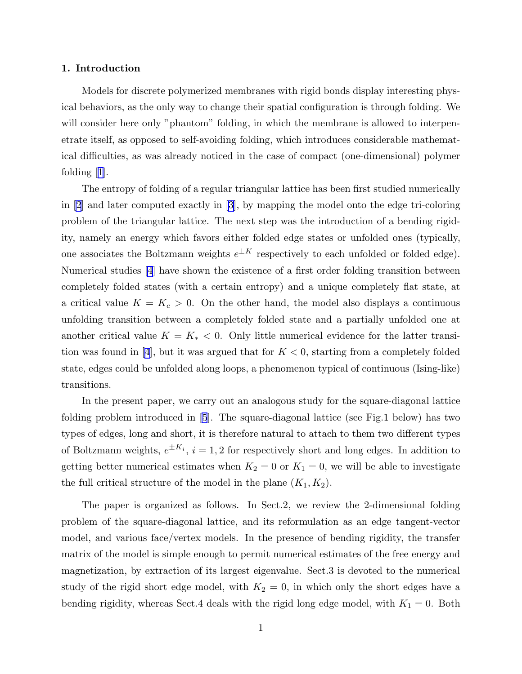## 1. Introduction

Models for discrete polymerized membranes with rigid bonds display interesting physical behaviors, as the only way to change their spatial configuration is through folding. We will consider here only "phantom" folding, in which the membrane is allowed to interpenetrate itself, as opposed to self-avoiding folding, which introduces considerable mathematical difficulties, as was already noticed in the case of compact (one-dimensional) polymer folding $|1|$ .

The entropy of folding of a regular triangular lattice has been first studied numerically in [\[2](#page-20-0)] and later computed exactly in [\[3](#page-20-0)], by mapping the model onto the edge tri-coloring problem of the triangular lattice. The next step was the introduction of a bending rigidity, namely an energy which favors either folded edge states or unfolded ones (typically, one associates the Boltzmann weights  $e^{\pm K}$  respectively to each unfolded or folded edge). Numerical studies [\[4](#page-20-0)] have shown the existence of a first order folding transition between completely folded states (with a certain entropy) and a unique completely flat state, at a critical value  $K = K_c > 0$ . On the other hand, the model also displays a continuous unfolding transition between a completely folded state and a partially unfolded one at another critical value  $K = K_* < 0$ . Only little numerical evidence for the latter transi-tionwas found in [[4\]](#page-20-0), but it was argued that for  $K < 0$ , starting from a completely folded state, edges could be unfolded along loops, a phenomenon typical of continuous (Ising-like) transitions.

In the present paper, we carry out an analogous study for the square-diagonal lattice folding problem introduced in [\[5](#page-20-0)]. The square-diagonal lattice (see Fig.1 below) has two types of edges, long and short, it is therefore natural to attach to them two different types of Boltzmann weights,  $e^{\pm K_i}$ ,  $i = 1, 2$  for respectively short and long edges. In addition to getting better numerical estimates when  $K_2 = 0$  or  $K_1 = 0$ , we will be able to investigate the full critical structure of the model in the plane  $(K_1, K_2)$ .

The paper is organized as follows. In Sect.2, we review the 2-dimensional folding problem of the square-diagonal lattice, and its reformulation as an edge tangent-vector model, and various face/vertex models. In the presence of bending rigidity, the transfer matrix of the model is simple enough to permit numerical estimates of the free energy and magnetization, by extraction of its largest eigenvalue. Sect.3 is devoted to the numerical study of the rigid short edge model, with  $K_2 = 0$ , in which only the short edges have a bending rigidity, whereas Sect.4 deals with the rigid long edge model, with  $K_1 = 0$ . Both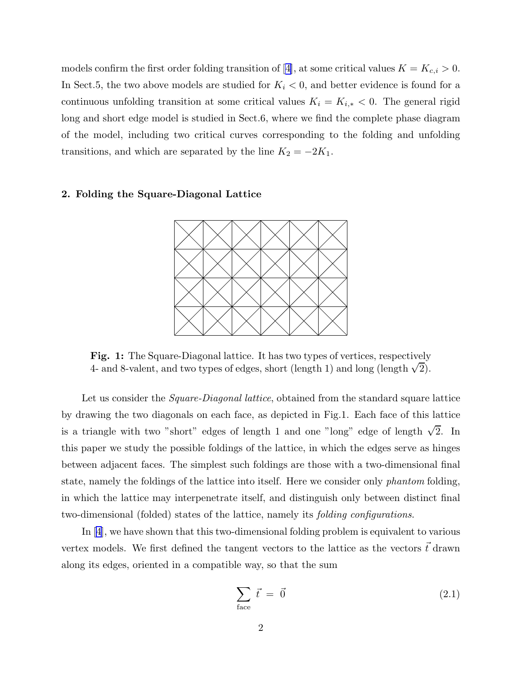modelsconfirm the first order folding transition of [[4\]](#page-20-0), at some critical values  $K = K_{c,i} > 0$ . In Sect.5, the two above models are studied for  $K_i < 0$ , and better evidence is found for a continuous unfolding transition at some critical values  $K_i = K_{i,*} < 0$ . The general rigid long and short edge model is studied in Sect.6, where we find the complete phase diagram of the model, including two critical curves corresponding to the folding and unfolding transitions, and which are separated by the line  $K_2 = -2K_1$ .



## 2. Folding the Square-Diagonal Lattice

Fig. 1: The Square-Diagonal lattice. It has two types of vertices, respectively 4- and 8-valent, and two types of edges, short (length 1) and long (length  $\sqrt{2}$ ).

Let us consider the *Square-Diagonal lattice*, obtained from the standard square lattice by drawing the two diagonals on each face, as depicted in Fig.1. Each face of this lattice is a triangle with two "short" edges of length 1 and one "long" edge of length  $\sqrt{2}$ . In this paper we study the possible foldings of the lattice, in which the edges serve as hinges between adjacent faces. The simplest such foldings are those with a two-dimensional final state, namely the foldings of the lattice into itself. Here we consider only *phantom* folding, in which the lattice may interpenetrate itself, and distinguish only between distinct final two-dimensional (folded) states of the lattice, namely its *folding configurations*.

In[[4\]](#page-20-0), we have shown that this two-dimensional folding problem is equivalent to various vertex models. We first defined the tangent vectors to the lattice as the vectors  $\vec{t}$  drawn along its edges, oriented in a compatible way, so that the sum

$$
\sum_{\text{face}} \vec{t} = \vec{0} \tag{2.1}
$$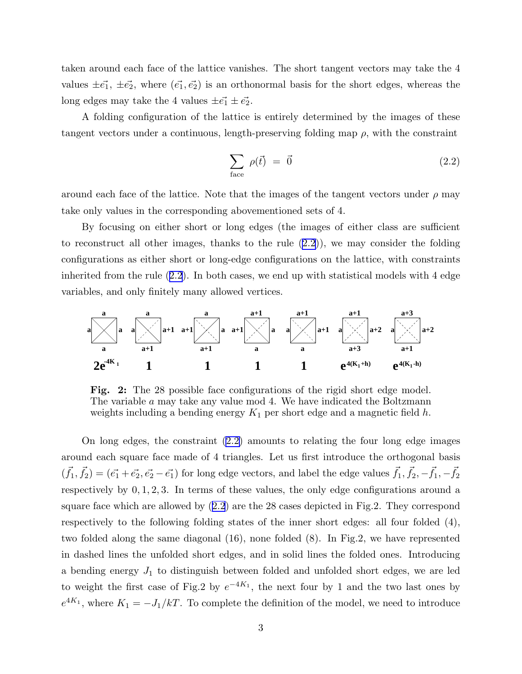<span id="page-3-0"></span>taken around each face of the lattice vanishes. The short tangent vectors may take the 4 values  $\pm \vec{e_1}$ ,  $\pm \vec{e_2}$ , where  $(\vec{e_1}, \vec{e_2})$  is an orthonormal basis for the short edges, whereas the long edges may take the 4 values  $\pm \vec{e_1} \pm \vec{e_2}$ .

A folding configuration of the lattice is entirely determined by the images of these tangent vectors under a continuous, length-preserving folding map  $\rho$ , with the constraint

$$
\sum_{\text{face}} \rho(\vec{t}) = \vec{0} \tag{2.2}
$$

around each face of the lattice. Note that the images of the tangent vectors under  $\rho$  may take only values in the corresponding abovementioned sets of 4.

By focusing on either short or long edges (the images of either class are sufficient to reconstruct all other images, thanks to the rule  $(2.2)$ ), we may consider the folding configurations as either short or long-edge configurations on the lattice, with constraints inherited from the rule (2.2). In both cases, we end up with statistical models with 4 edge variables, and only finitely many allowed vertices.



Fig. 2: The 28 possible face configurations of the rigid short edge model. The variable a may take any value mod 4. We have indicated the Boltzmann weights including a bending energy  $K_1$  per short edge and a magnetic field h.

On long edges, the constraint (2.2) amounts to relating the four long edge images around each square face made of 4 triangles. Let us first introduce the orthogonal basis  $(\vec{f}_1, \vec{f}_2) = (\vec{e}_1 + \vec{e}_2, \vec{e}_2 - \vec{e}_1)$  for long edge vectors, and label the edge values  $\vec{f}_1, \vec{f}_2, -\vec{f}_1, -\vec{f}_2$ respectively by  $0, 1, 2, 3$ . In terms of these values, the only edge configurations around a square face which are allowed by (2.2) are the 28 cases depicted in Fig.2. They correspond respectively to the following folding states of the inner short edges: all four folded (4), two folded along the same diagonal (16), none folded (8). In Fig.2, we have represented in dashed lines the unfolded short edges, and in solid lines the folded ones. Introducing a bending energy  $J_1$  to distinguish between folded and unfolded short edges, we are led to weight the first case of Fig.2 by  $e^{-4K_1}$ , the next four by 1 and the two last ones by  $e^{4K_1}$ , where  $K_1 = -J_1/kT$ . To complete the definition of the model, we need to introduce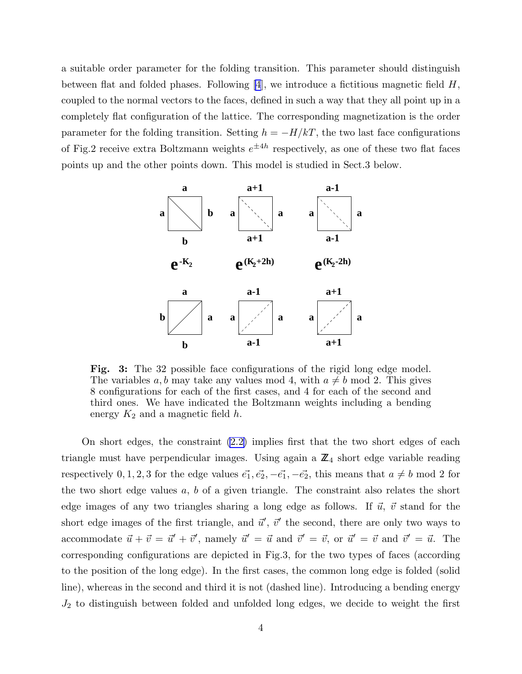a suitable order parameter for the folding transition. This parameter should distinguish between flat and folded phases. Following [\[4](#page-20-0)], we introduce a fictitious magnetic field  $H$ , coupled to the normal vectors to the faces, defined in such a way that they all point up in a completely flat configuration of the lattice. The corresponding magnetization is the order parameter for the folding transition. Setting  $h = -H/kT$ , the two last face configurations of Fig.2 receive extra Boltzmann weights  $e^{\pm 4h}$  respectively, as one of these two flat faces points up and the other points down. This model is studied in Sect.3 below.



Fig. 3: The 32 possible face configurations of the rigid long edge model. The variables a, b may take any values mod 4, with  $a \neq b$  mod 2. This gives 8 configurations for each of the first cases, and 4 for each of the second and third ones. We have indicated the Boltzmann weights including a bending energy  $K_2$  and a magnetic field h.

On short edges, the constraint [\(2.2\)](#page-3-0) implies first that the two short edges of each triangle must have perpendicular images. Using again a  $\mathbb{Z}_4$  short edge variable reading respectively 0, 1, 2, 3 for the edge values  $\vec{e_1}, \vec{e_2}, -\vec{e_1}, -\vec{e_2}$ , this means that  $a \neq b \mod 2$  for the two short edge values  $a, b$  of a given triangle. The constraint also relates the short edge images of any two triangles sharing a long edge as follows. If  $\vec{u}$ ,  $\vec{v}$  stand for the short edge images of the first triangle, and  $\vec{u}'$ ,  $\vec{v}'$  the second, there are only two ways to accommodate  $\vec{u} + \vec{v} = \vec{u}' + \vec{v}'$ , namely  $\vec{u}' = \vec{u}$  and  $\vec{v}' = \vec{v}$ , or  $\vec{u}' = \vec{v}$  and  $\vec{v}' = \vec{u}$ . The corresponding configurations are depicted in Fig.3, for the two types of faces (according to the position of the long edge). In the first cases, the common long edge is folded (solid line), whereas in the second and third it is not (dashed line). Introducing a bending energy  $J_2$  to distinguish between folded and unfolded long edges, we decide to weight the first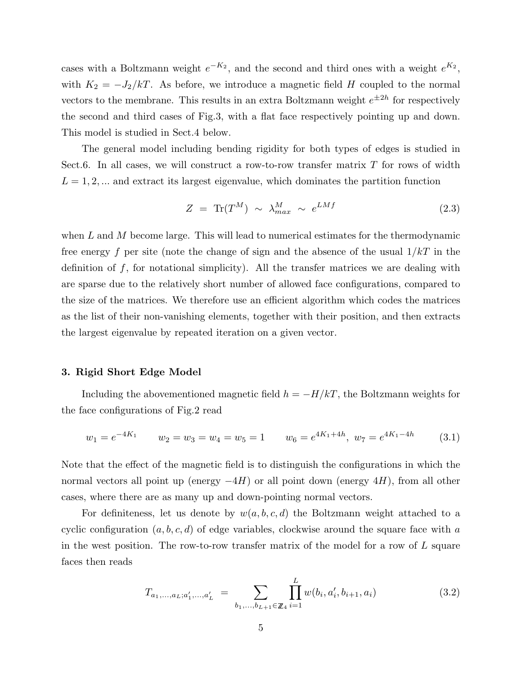<span id="page-5-0"></span>cases with a Boltzmann weight  $e^{-K_2}$ , and the second and third ones with a weight  $e^{K_2}$ , with  $K_2 = -J_2/kT$ . As before, we introduce a magnetic field H coupled to the normal vectors to the membrane. This results in an extra Boltzmann weight  $e^{\pm 2h}$  for respectively the second and third cases of Fig.3, with a flat face respectively pointing up and down. This model is studied in Sect.4 below.

The general model including bending rigidity for both types of edges is studied in Sect.6. In all cases, we will construct a row-to-row transfer matrix  $T$  for rows of width  $L = 1, 2, \dots$  and extract its largest eigenvalue, which dominates the partition function

$$
Z = \text{Tr}(T^M) \sim \lambda_{max}^M \sim e^{LMf} \tag{2.3}
$$

when  $L$  and  $M$  become large. This will lead to numerical estimates for the thermodynamic free energy f per site (note the change of sign and the absence of the usual  $1/kT$  in the definition of  $f$ , for notational simplicity). All the transfer matrices we are dealing with are sparse due to the relatively short number of allowed face configurations, compared to the size of the matrices. We therefore use an efficient algorithm which codes the matrices as the list of their non-vanishing elements, together with their position, and then extracts the largest eigenvalue by repeated iteration on a given vector.

# 3. Rigid Short Edge Model

Including the abovementioned magnetic field  $h = -H/kT$ , the Boltzmann weights for the face configurations of Fig.2 read

$$
w_1 = e^{-4K_1}
$$
  $w_2 = w_3 = w_4 = w_5 = 1$   $w_6 = e^{4K_1 + 4h}$ ,  $w_7 = e^{4K_1 - 4h}$  (3.1)

Note that the effect of the magnetic field is to distinguish the configurations in which the normal vectors all point up (energy  $-4H$ ) or all point down (energy  $4H$ ), from all other cases, where there are as many up and down-pointing normal vectors.

For definiteness, let us denote by  $w(a, b, c, d)$  the Boltzmann weight attached to a cyclic configuration  $(a, b, c, d)$  of edge variables, clockwise around the square face with a in the west position. The row-to-row transfer matrix of the model for a row of  $L$  square faces then reads

$$
T_{a_1,...,a_L;a'_1,...,a'_L} = \sum_{b_1,...,b_{L+1} \in \mathbb{Z}_4} \prod_{i=1}^L w(b_i, a'_i, b_{i+1}, a_i)
$$
(3.2)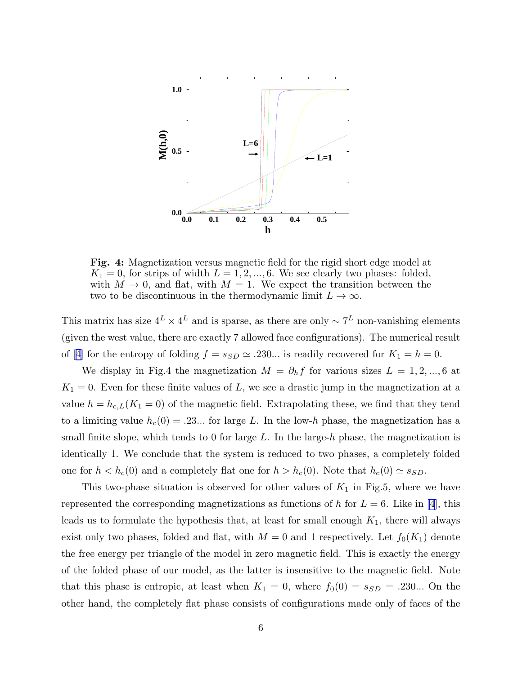

Fig. 4: Magnetization versus magnetic field for the rigid short edge model at  $K_1 = 0$ , for strips of width  $L = 1, 2, ..., 6$ . We see clearly two phases: folded, with  $M \to 0$ , and flat, with  $M = 1$ . We expect the transition between the two to be discontinuous in the thermodynamic limit  $L \to \infty$ .

This matrix has size  $4^L \times 4^L$  and is sparse, as there are only  $\sim 7^L$  non-vanishing elements (given the west value, there are exactly 7 allowed face configurations). The numerical result of[[4\]](#page-20-0) for the entropy of folding  $f = s_{SD} \simeq .230...$  is readily recovered for  $K_1 = h = 0$ .

We display in Fig.4 the magnetization  $M = \partial_h f$  for various sizes  $L = 1, 2, ..., 6$  at  $K_1 = 0$ . Even for these finite values of L, we see a drastic jump in the magnetization at a value  $h = h_{c,L}(K_1 = 0)$  of the magnetic field. Extrapolating these, we find that they tend to a limiting value  $h_c(0) = .23...$  for large L. In the low-h phase, the magnetization has a small finite slope, which tends to 0 for large L. In the large-h phase, the magnetization is identically 1. We conclude that the system is reduced to two phases, a completely folded one for  $h < h_c(0)$  and a completely flat one for  $h > h_c(0)$ . Note that  $h_c(0) \simeq s_{SD}$ .

This two-phase situation is observed for other values of  $K_1$  in Fig.5, where we have represented the corresponding magnetizations as functions of h for  $L = 6$ . Like in [\[4](#page-20-0)], this leads us to formulate the hypothesis that, at least for small enough  $K_1$ , there will always exist only two phases, folded and flat, with  $M = 0$  and 1 respectively. Let  $f_0(K_1)$  denote the free energy per triangle of the model in zero magnetic field. This is exactly the energy of the folded phase of our model, as the latter is insensitive to the magnetic field. Note that this phase is entropic, at least when  $K_1 = 0$ , where  $f_0(0) = s_{SD} = .230...$  On the other hand, the completely flat phase consists of configurations made only of faces of the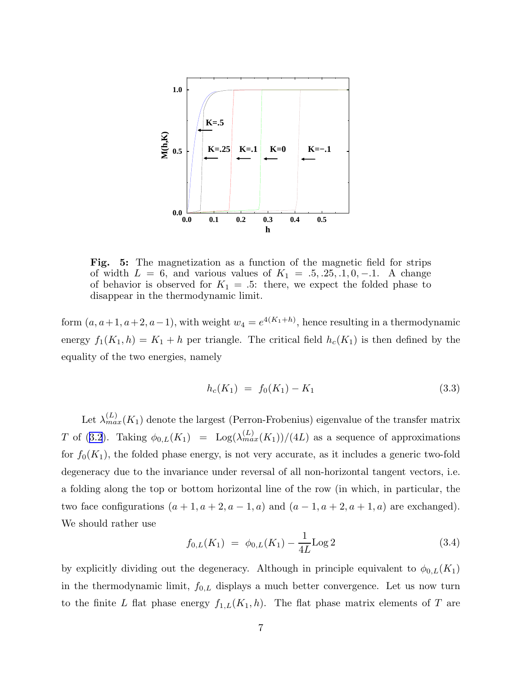

Fig. 5: The magnetization as a function of the magnetic field for strips of width  $L = 6$ , and various values of  $K_1 = .5, .25, .1, 0, -.1$ . A change of behavior is observed for  $K_1 = .5$ : there, we expect the folded phase to disappear in the thermodynamic limit.

form  $(a, a+1, a+2, a-1)$ , with weight  $w_4 = e^{4(K_1+h)}$ , hence resulting in a thermodynamic energy  $f_1(K_1, h) = K_1 + h$  per triangle. The critical field  $h_c(K_1)$  is then defined by the equality of the two energies, namely

$$
h_c(K_1) = f_0(K_1) - K_1 \tag{3.3}
$$

Let  $\lambda_{max}^{(L)}(K_1)$  denote the largest (Perron-Frobenius) eigenvalue of the transfer matrix Tof ([3.2](#page-5-0)). Taking  $\phi_{0,L}(K_1) = \text{Log}(\lambda_{max}^{(L)}(K_1))/(4L)$  as a sequence of approximations for  $f_0(K_1)$ , the folded phase energy, is not very accurate, as it includes a generic two-fold degeneracy due to the invariance under reversal of all non-horizontal tangent vectors, i.e. a folding along the top or bottom horizontal line of the row (in which, in particular, the two face configurations  $(a + 1, a + 2, a - 1, a)$  and  $(a - 1, a + 2, a + 1, a)$  are exchanged). We should rather use

$$
f_{0,L}(K_1) = \phi_{0,L}(K_1) - \frac{1}{4L} \text{Log } 2 \tag{3.4}
$$

by explicitly dividing out the degeneracy. Although in principle equivalent to  $\phi_{0,L}(K_1)$ in the thermodynamic limit,  $f_{0,L}$  displays a much better convergence. Let us now turn to the finite L flat phase energy  $f_{1,L}(K_1, h)$ . The flat phase matrix elements of T are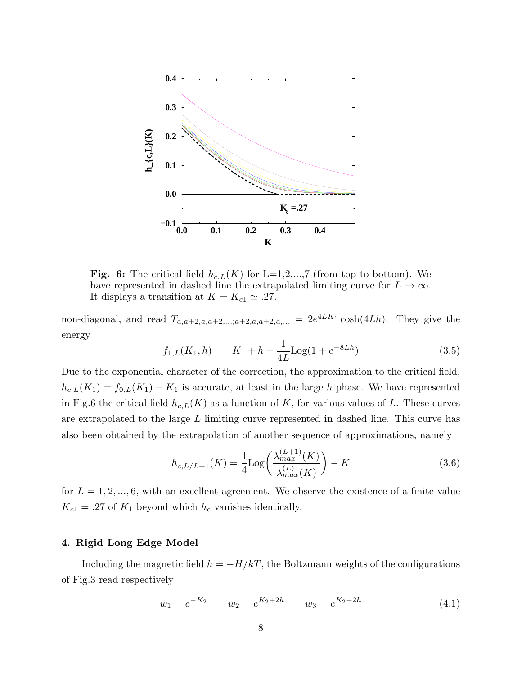

Fig. 6: The critical field  $h_{c,L}(K)$  for L=1,2,...,7 (from top to bottom). We have represented in dashed line the extrapolated limiting curve for  $L \to \infty$ . It displays a transition at  $K = K_{c1} \simeq .27$ .

non-diagonal, and read  $T_{a,a+2,a,a+2,\ldots;a+2,a,a+2,a,\ldots} = 2e^{4LK_1}\cosh(4Lh)$ . They give the energy

$$
f_{1,L}(K_1, h) = K_1 + h + \frac{1}{4L} \text{Log}(1 + e^{-8Lh}) \tag{3.5}
$$

Due to the exponential character of the correction, the approximation to the critical field,  $h_{c,L}(K_1) = f_{0,L}(K_1) - K_1$  is accurate, at least in the large h phase. We have represented in Fig.6 the critical field  $h_{c,L}(K)$  as a function of K, for various values of L. These curves are extrapolated to the large L limiting curve represented in dashed line. This curve has also been obtained by the extrapolation of another sequence of approximations, namely

$$
h_{c,L/L+1}(K) = \frac{1}{4} \text{Log}\left(\frac{\lambda_{max}^{(L+1)}(K)}{\lambda_{max}^{(L)}(K)}\right) - K
$$
\n(3.6)

for  $L = 1, 2, ..., 6$ , with an excellent agreement. We observe the existence of a finite value  $K_{c1} = .27$  of  $K_1$  beyond which  $h_c$  vanishes identically.

# 4. Rigid Long Edge Model

Including the magnetic field  $h = -H/kT$ , the Boltzmann weights of the configurations of Fig.3 read respectively

$$
w_1 = e^{-K_2} \qquad w_2 = e^{K_2 + 2h} \qquad w_3 = e^{K_2 - 2h} \tag{4.1}
$$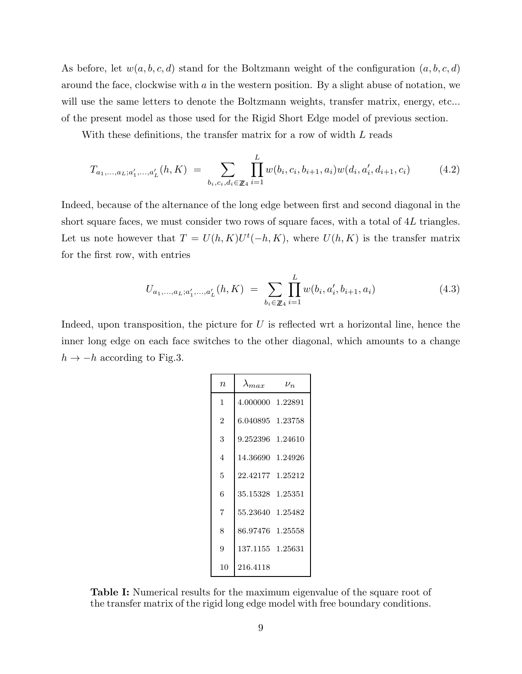<span id="page-9-0"></span>As before, let  $w(a, b, c, d)$  stand for the Boltzmann weight of the configuration  $(a, b, c, d)$ around the face, clockwise with  $a$  in the western position. By a slight abuse of notation, we will use the same letters to denote the Boltzmann weights, transfer matrix, energy, etc... of the present model as those used for the Rigid Short Edge model of previous section.

With these definitions, the transfer matrix for a row of width L reads

$$
T_{a_1,...,a_L;a'_1,...,a'_L}(h,K) = \sum_{b_i,c_i,d_i \in \mathbb{Z}_4} \prod_{i=1}^L w(b_i,c_i,b_{i+1},a_i)w(d_i,a'_i,d_{i+1},c_i)
$$
(4.2)

Indeed, because of the alternance of the long edge between first and second diagonal in the short square faces, we must consider two rows of square faces, with a total of 4L triangles. Let us note however that  $T = U(h, K)U^{t}(-h, K)$ , where  $U(h, K)$  is the transfer matrix for the first row, with entries

$$
U_{a_1,...,a_L;a'_1,...,a'_L}(h,K) = \sum_{b_i \in \mathbb{Z}_4} \prod_{i=1}^L w(b_i, a'_i, b_{i+1}, a_i)
$$
(4.3)

Indeed, upon transposition, the picture for  $U$  is reflected wrt a horizontal line, hence the inner long edge on each face switches to the other diagonal, which amounts to a change  $h \rightarrow -h$  according to Fig.3.

| $\it n$ | $\lambda_{max}$  | $\nu_n$ |
|---------|------------------|---------|
| 1       | 4.000000 1.22891 |         |
| 2       | 6.040895 1.23758 |         |
| 3       | 9.252396 1.24610 |         |
| 4       | 14.36690 1.24926 |         |
| 5       | 22.42177 1.25212 |         |
| 6       | 35.15328 1.25351 |         |
| 7       | 55.23640 1.25482 |         |
| 8       | 86.97476 1.25558 |         |
| 9       | 137.1155 1.25631 |         |
| 10      | 216.4118         |         |

Table I: Numerical results for the maximum eigenvalue of the square root of the transfer matrix of the rigid long edge model with free boundary conditions.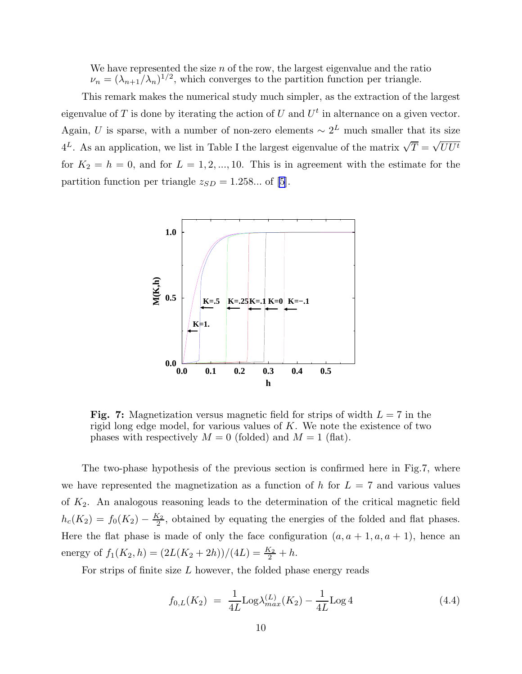<span id="page-10-0"></span>We have represented the size  $n$  of the row, the largest eigenvalue and the ratio  $\nu_n = (\lambda_{n+1}/\lambda_n)^{1/2}$ , which converges to the partition function per triangle.

This remark makes the numerical study much simpler, as the extraction of the largest eigenvalue of T is done by iterating the action of U and  $U^t$  in alternance on a given vector. Again, U is sparse, with a number of non-zero elements  $\sim 2^L$  much smaller that its size  $4^L$ . As an application, we list in Table I the largest eigenvalue of the matrix  $\sqrt{T} = \sqrt{UU^t}$ for  $K_2 = h = 0$ , and for  $L = 1, 2, ..., 10$ . This is in agreement with the estimate for the partition function per triangle  $z_{SD} = 1.258...$  of [\[5](#page-20-0)].



Fig. 7: Magnetization versus magnetic field for strips of width  $L = 7$  in the rigid long edge model, for various values of  $K$ . We note the existence of two phases with respectively  $M = 0$  (folded) and  $M = 1$  (flat).

The two-phase hypothesis of the previous section is confirmed here in Fig.7, where we have represented the magnetization as a function of h for  $L = 7$  and various values of  $K_2$ . An analogous reasoning leads to the determination of the critical magnetic field  $h_c(K_2) = f_0(K_2) - \frac{K_2}{2}$  $\frac{\zeta_2}{2}$ , obtained by equating the energies of the folded and flat phases. Here the flat phase is made of only the face configuration  $(a, a + 1, a, a + 1)$ , hence an energy of  $f_1(K_2, h) = (2L(K_2 + 2h))/(4L) = \frac{K_2}{2} + h$ .

For strips of finite size  $L$  however, the folded phase energy reads

$$
f_{0,L}(K_2) = \frac{1}{4L} \text{Log}\lambda_{max}^{(L)}(K_2) - \frac{1}{4L} \text{Log} 4
$$
 (4.4)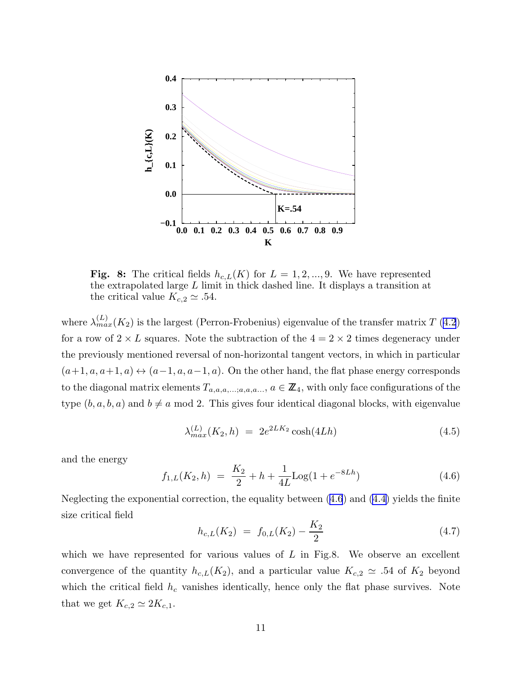

Fig. 8: The critical fields  $h_{c,L}(K)$  for  $L = 1, 2, ..., 9$ . We have represented the extrapolated large L limit in thick dashed line. It displays a transition at the critical value  $K_{c,2} \simeq .54$ .

where  $\lambda_{max}^{(L)}(K_2)$  is the largest (Perron-Frobenius) eigenvalue of the transfer matrix T [\(4.2](#page-9-0)) for a row of  $2 \times L$  squares. Note the subtraction of the  $4 = 2 \times 2$  times degeneracy under the previously mentioned reversal of non-horizontal tangent vectors, in which in particular  $(a+1, a, a+1, a) \leftrightarrow (a-1, a, a-1, a)$ . On the other hand, the flat phase energy corresponds to the diagonal matrix elements  $T_{a,a,a,\ldots,a,a,a,\ldots}$ ,  $a \in \mathbb{Z}_4$ , with only face configurations of the type  $(b, a, b, a)$  and  $b \neq a \mod 2$ . This gives four identical diagonal blocks, with eigenvalue

$$
\lambda_{max}^{(L)}(K_2, h) = 2e^{2LK_2} \cosh(4Lh)
$$
\n(4.5)

and the energy

$$
f_{1,L}(K_2, h) = \frac{K_2}{2} + h + \frac{1}{4L} \text{Log}(1 + e^{-8Lh})
$$
\n(4.6)

Neglecting the exponential correction, the equality between (4.6) and [\(4.4\)](#page-10-0) yields the finite size critical field

$$
h_{c,L}(K_2) = f_{0,L}(K_2) - \frac{K_2}{2}
$$
\n(4.7)

which we have represented for various values of  $L$  in Fig.8. We observe an excellent convergence of the quantity  $h_{c,L}(K_2)$ , and a particular value  $K_{c,2} \simeq .54$  of  $K_2$  beyond which the critical field  $h_c$  vanishes identically, hence only the flat phase survives. Note that we get  $K_{c,2} \simeq 2K_{c,1}$ .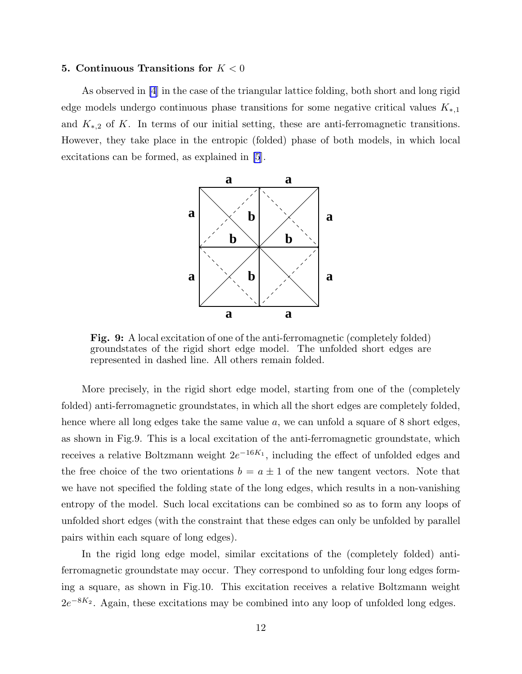### **5.** Continuous Transitions for  $K < 0$

As observed in [\[4](#page-20-0)] in the case of the triangular lattice folding, both short and long rigid edge models undergo continuous phase transitions for some negative critical values  $K_{*,1}$ and  $K_{*,2}$  of K. In terms of our initial setting, these are anti-ferromagnetic transitions. However, they take place in the entropic (folded) phase of both models, in which local excitations can be formed, as explained in [\[5](#page-20-0)].



Fig. 9: A local excitation of one of the anti-ferromagnetic (completely folded) groundstates of the rigid short edge model. The unfolded short edges are represented in dashed line. All others remain folded.

More precisely, in the rigid short edge model, starting from one of the (completely folded) anti-ferromagnetic groundstates, in which all the short edges are completely folded, hence where all long edges take the same value a, we can unfold a square of 8 short edges, as shown in Fig.9. This is a local excitation of the anti-ferromagnetic groundstate, which receives a relative Boltzmann weight  $2e^{-16K_1}$ , including the effect of unfolded edges and the free choice of the two orientations  $b = a \pm 1$  of the new tangent vectors. Note that we have not specified the folding state of the long edges, which results in a non-vanishing entropy of the model. Such local excitations can be combined so as to form any loops of unfolded short edges (with the constraint that these edges can only be unfolded by parallel pairs within each square of long edges).

In the rigid long edge model, similar excitations of the (completely folded) antiferromagnetic groundstate may occur. They correspond to unfolding four long edges forming a square, as shown in Fig.10. This excitation receives a relative Boltzmann weight  $2e^{-8K_2}$ . Again, these excitations may be combined into any loop of unfolded long edges.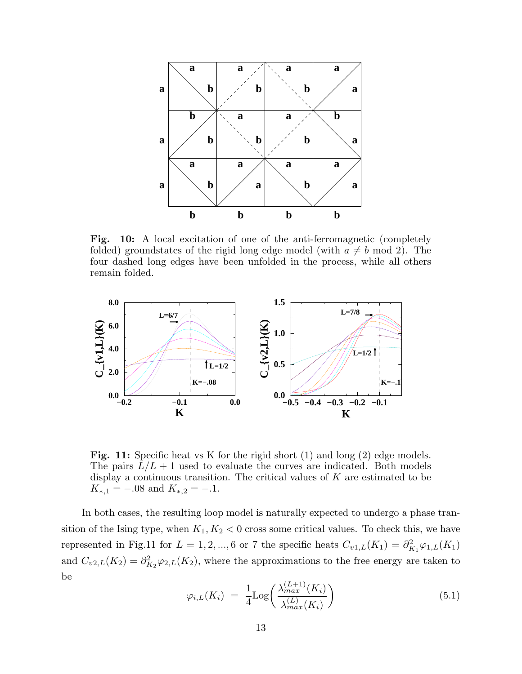

Fig. 10: A local excitation of one of the anti-ferromagnetic (completely folded) groundstates of the rigid long edge model (with  $a \neq b$  mod 2). The four dashed long edges have been unfolded in the process, while all others remain folded.



Fig. 11: Specific heat vs K for the rigid short (1) and long (2) edge models. The pairs  $L/L + 1$  used to evaluate the curves are indicated. Both models display a continuous transition. The critical values of  $K$  are estimated to be  $K_{*,1} = -.08$  and  $K_{*,2} = -.1$ .

In both cases, the resulting loop model is naturally expected to undergo a phase transition of the Ising type, when  $K_1, K_2 < 0$  cross some critical values. To check this, we have represented in Fig.11 for  $L = 1, 2, ..., 6$  or 7 the specific heats  $C_{v1,L}(K_1) = \partial_{K_1}^2 \varphi_{1,L}(K_1)$ and  $C_{v2,L}(K_2) = \partial_{K_2}^2 \varphi_{2,L}(K_2)$ , where the approximations to the free energy are taken to be

$$
\varphi_{i,L}(K_i) = \frac{1}{4} \text{Log}\left(\frac{\lambda_{max}^{(L+1)}(K_i)}{\lambda_{max}^{(L)}(K_i)}\right) \tag{5.1}
$$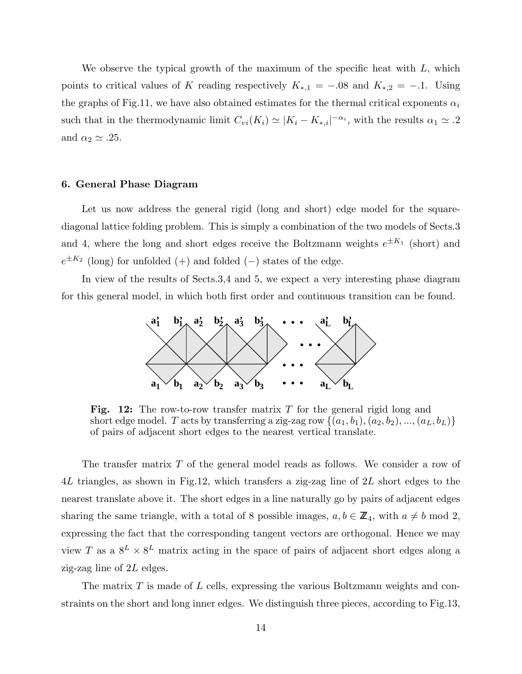We observe the typical growth of the maximum of the specific heat with  $L$ , which points to critical values of K reading respectively  $K_{*,1} = -.08$  and  $K_{*,2} = -.1$ . Using the graphs of Fig.11, we have also obtained estimates for the thermal critical exponents  $\alpha_i$ such that in the thermodynamic limit  $C_{vi}(K_i) \simeq |K_i - K_{*,i}|^{-\alpha_i}$ , with the results  $\alpha_1 \simeq .2$ and  $\alpha_2 \simeq .25$ .

# 6. General Phase Diagram

Let us now address the general rigid (long and short) edge model for the squarediagonal lattice folding problem. This is simply a combination of the two models of Sects.3 and 4, where the long and short edges receive the Boltzmann weights  $e^{\pm K_1}$  (short) and  $e^{\pm K_2}$  (long) for unfolded (+) and folded (-) states of the edge.

In view of the results of Sects.3,4 and 5, we expect a very interesting phase diagram for this general model, in which both first order and continuous transition can be found.



Fig. 12: The row-to-row transfer matrix  $T$  for the general rigid long and short edge model. T acts by transferring a zig-zag row  $\{(a_1, b_1), (a_2, b_2), ..., (a_L, b_L)\}\$ of pairs of adjacent short edges to the nearest vertical translate.

The transfer matrix T of the general model reads as follows. We consider a row of 4L triangles, as shown in Fig.12, which transfers a zig-zag line of 2L short edges to the nearest translate above it. The short edges in a line naturally go by pairs of adjacent edges sharing the same triangle, with a total of 8 possible images,  $a, b \in \mathbb{Z}_4$ , with  $a \neq b \mod 2$ , expressing the fact that the corresponding tangent vectors are orthogonal. Hence we may view T as a  $8^L \times 8^L$  matrix acting in the space of pairs of adjacent short edges along a zig-zag line of 2L edges.

The matrix T is made of L cells, expressing the various Boltzmann weights and constraints on the short and long inner edges. We distinguish three pieces, according to Fig.13,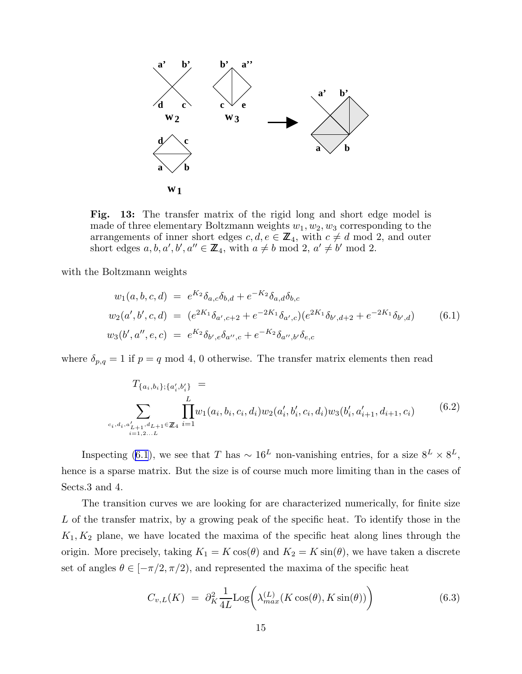

Fig. 13: The transfer matrix of the rigid long and short edge model is made of three elementary Boltzmann weights  $w_1, w_2, w_3$  corresponding to the arrangements of inner short edges  $c, d, e \in \mathbb{Z}_4$ , with  $c \neq d \mod 2$ , and outer short edges  $a, b, a', b', a'' \in \mathbb{Z}_4$ , with  $a \neq b \mod 2$ ,  $a' \neq b' \mod 2$ .

with the Boltzmann weights

$$
w_1(a, b, c, d) = e^{K_2} \delta_{a,c} \delta_{b,d} + e^{-K_2} \delta_{a,d} \delta_{b,c}
$$
  
\n
$$
w_2(a', b', c, d) = (e^{2K_1} \delta_{a',c+2} + e^{-2K_1} \delta_{a',c})(e^{2K_1} \delta_{b',d+2} + e^{-2K_1} \delta_{b',d})
$$
  
\n
$$
w_3(b', a'', e, c) = e^{K_2} \delta_{b',e} \delta_{a'',c} + e^{-K_2} \delta_{a'',b'} \delta_{e,c}
$$
\n(6.1)

where  $\delta_{p,q} = 1$  if  $p = q \mod 4$ , 0 otherwise. The transfer matrix elements then read

$$
T_{\{a_i, b_i\}; \{a'_i, b'_i\}} = \sum_{\substack{L \\ c_i, d_i, a'_{L+1}, d_{L+1} \in \mathbb{Z}_4}} \prod_{i=1}^L w_1(a_i, b_i, c_i, d_i) w_2(a'_i, b'_i, c_i, d_i) w_3(b'_i, a'_{i+1}, d_{i+1}, c_i)
$$
(6.2)

Inspecting (6.1), we see that T has  $\sim 16^L$  non-vanishing entries, for a size  $8^L \times 8^L$ , hence is a sparse matrix. But the size is of course much more limiting than in the cases of Sects.3 and 4.

The transition curves we are looking for are characterized numerically, for finite size L of the transfer matrix, by a growing peak of the specific heat. To identify those in the  $K_1, K_2$  plane, we have located the maxima of the specific heat along lines through the origin. More precisely, taking  $K_1 = K \cos(\theta)$  and  $K_2 = K \sin(\theta)$ , we have taken a discrete set of angles  $\theta \in [-\pi/2, \pi/2)$ , and represented the maxima of the specific heat

$$
C_{v,L}(K) = \partial_K^2 \frac{1}{4L} \text{Log}\bigg(\lambda_{max}^{(L)}(K\cos(\theta), K\sin(\theta))\bigg) \tag{6.3}
$$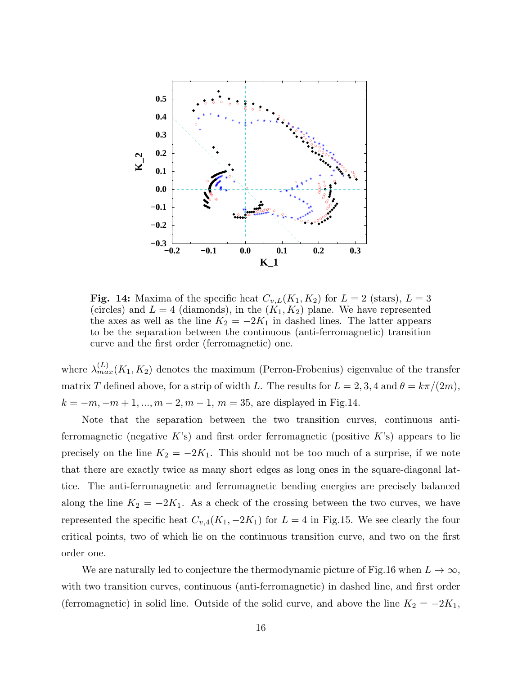

**Fig. 14:** Maxima of the specific heat  $C_{v,L}(K_1, K_2)$  for  $L = 2$  (stars),  $L = 3$ (circles) and  $L = 4$  (diamonds), in the  $(K_1, K_2)$  plane. We have represented the axes as well as the line  $K_2 = -2K_1$  in dashed lines. The latter appears to be the separation between the continuous (anti-ferromagnetic) transition curve and the first order (ferromagnetic) one.

where  $\lambda_{max}^{(L)}(K_1, K_2)$  denotes the maximum (Perron-Frobenius) eigenvalue of the transfer matrix T defined above, for a strip of width L. The results for  $L = 2, 3, 4$  and  $\theta = k\pi/(2m)$ ,  $k = -m, -m + 1, ..., m - 2, m - 1, m = 35$ , are displayed in Fig. 14.

Note that the separation between the two transition curves, continuous antiferromagnetic (negative K's) and first order ferromagnetic (positive K's) appears to lie precisely on the line  $K_2 = -2K_1$ . This should not be too much of a surprise, if we note that there are exactly twice as many short edges as long ones in the square-diagonal lattice. The anti-ferromagnetic and ferromagnetic bending energies are precisely balanced along the line  $K_2 = -2K_1$ . As a check of the crossing between the two curves, we have represented the specific heat  $C_{v,4}(K_1, -2K_1)$  for  $L = 4$  in Fig.15. We see clearly the four critical points, two of which lie on the continuous transition curve, and two on the first order one.

We are naturally led to conjecture the thermodynamic picture of Fig.16 when  $L \to \infty$ , with two transition curves, continuous (anti-ferromagnetic) in dashed line, and first order (ferromagnetic) in solid line. Outside of the solid curve, and above the line  $K_2 = -2K_1$ ,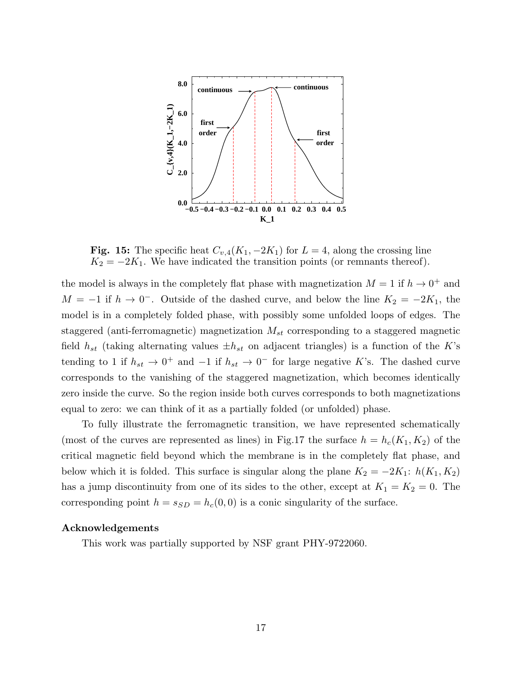

Fig. 15: The specific heat  $C_{v,4}(K_1, -2K_1)$  for  $L = 4$ , along the crossing line  $K_2 = -2K_1$ . We have indicated the transition points (or remnants thereof).

the model is always in the completely flat phase with magnetization  $M = 1$  if  $h \to 0^+$  and  $M = -1$  if  $h \to 0^-$ . Outside of the dashed curve, and below the line  $K_2 = -2K_1$ , the model is in a completely folded phase, with possibly some unfolded loops of edges. The staggered (anti-ferromagnetic) magnetization  $M_{st}$  corresponding to a staggered magnetic field  $h_{st}$  (taking alternating values  $\pm h_{st}$  on adjacent triangles) is a function of the K's tending to 1 if  $h_{st} \to 0^+$  and  $-1$  if  $h_{st} \to 0^-$  for large negative K's. The dashed curve corresponds to the vanishing of the staggered magnetization, which becomes identically zero inside the curve. So the region inside both curves corresponds to both magnetizations equal to zero: we can think of it as a partially folded (or unfolded) phase.

To fully illustrate the ferromagnetic transition, we have represented schematically (most of the curves are represented as lines) in Fig.17 the surface  $h = h_c(K_1, K_2)$  of the critical magnetic field beyond which the membrane is in the completely flat phase, and below which it is folded. This surface is singular along the plane  $K_2 = -2K_1: h(K_1, K_2)$ has a jump discontinuity from one of its sides to the other, except at  $K_1 = K_2 = 0$ . The corresponding point  $h = s_{SD} = h_c(0, 0)$  is a conic singularity of the surface.

### Acknowledgements

This work was partially supported by NSF grant PHY-9722060.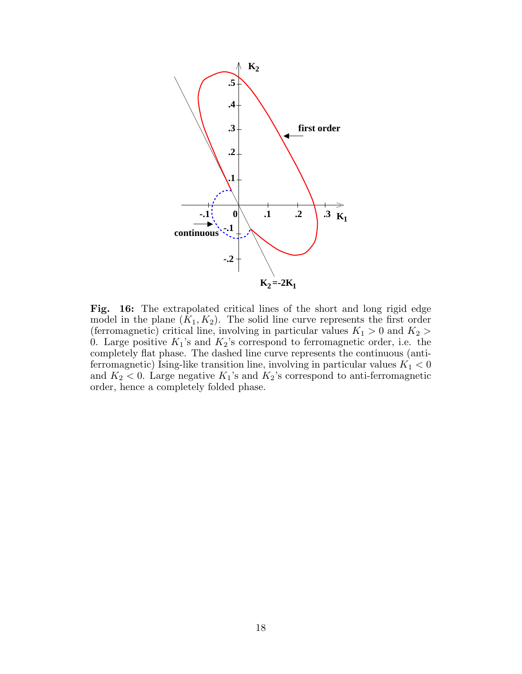

Fig. 16: The extrapolated critical lines of the short and long rigid edge model in the plane  $(K_1, K_2)$ . The solid line curve represents the first order (ferromagnetic) critical line, involving in particular values  $K_1 > 0$  and  $K_2 >$ 0. Large positive  $K_1$ 's and  $K_2$ 's correspond to ferromagnetic order, i.e. the completely flat phase. The dashed line curve represents the continuous (antiferromagnetic) Ising-like transition line, involving in particular values  $K_1 < 0$ and  $K_2 < 0$ . Large negative  $K_1$ 's and  $K_2$ 's correspond to anti-ferromagnetic order, hence a completely folded phase.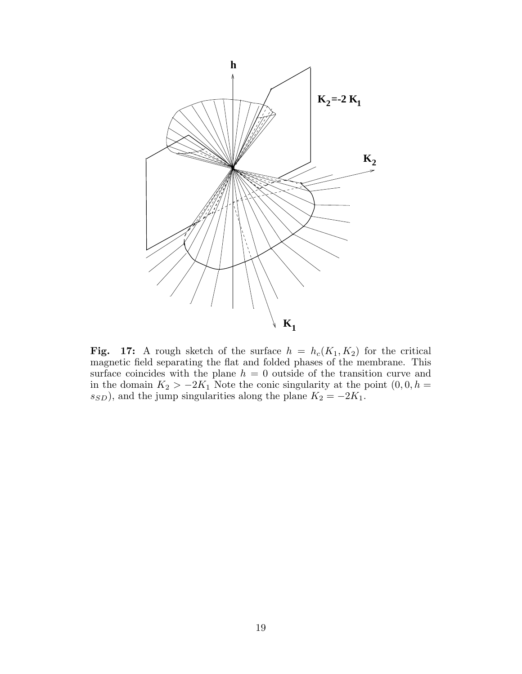

Fig. 17: A rough sketch of the surface  $h = h_c(K_1, K_2)$  for the critical magnetic field separating the flat and folded phases of the membrane. This surface coincides with the plane  $h = 0$  outside of the transition curve and in the domain  $K_2 > -2K_1$  Note the conic singularity at the point  $(0, 0, h =$  $s_{SD}$ ), and the jump singularities along the plane  $K_2 = -2K_1$ .